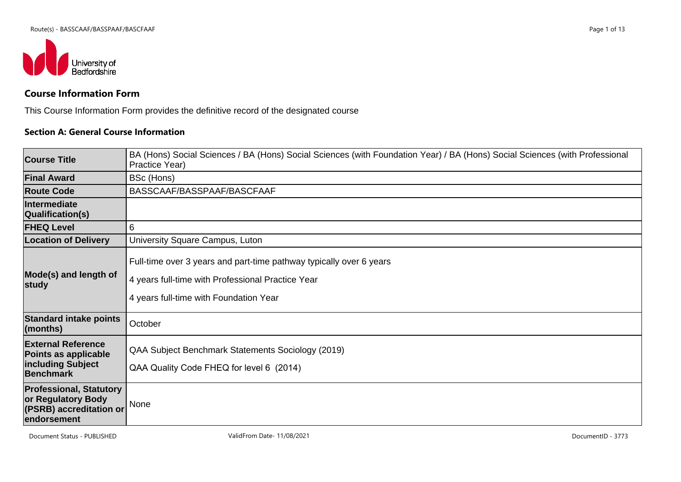

# **Course Information Form**

This Course Information Form provides the definitive record of the designated course

#### **Section A: General Course Information**

| <b>Course Title</b>                                                                            | BA (Hons) Social Sciences / BA (Hons) Social Sciences (with Foundation Year) / BA (Hons) Social Sciences (with Professional<br>Practice Year)                      |
|------------------------------------------------------------------------------------------------|--------------------------------------------------------------------------------------------------------------------------------------------------------------------|
| <b>Final Award</b>                                                                             | BSc (Hons)                                                                                                                                                         |
| <b>Route Code</b>                                                                              | BASSCAAF/BASSPAAF/BASCFAAF                                                                                                                                         |
| Intermediate<br>Qualification(s)                                                               |                                                                                                                                                                    |
| <b>FHEQ Level</b>                                                                              | 6                                                                                                                                                                  |
| <b>Location of Delivery</b>                                                                    | University Square Campus, Luton                                                                                                                                    |
| Mode(s) and length of<br>study                                                                 | Full-time over 3 years and part-time pathway typically over 6 years<br>4 years full-time with Professional Practice Year<br>4 years full-time with Foundation Year |
| <b>Standard intake points</b><br>$ $ (months)                                                  | October                                                                                                                                                            |
| <b>External Reference</b><br>Points as applicable<br>including Subject<br><b>Benchmark</b>     | QAA Subject Benchmark Statements Sociology (2019)<br>QAA Quality Code FHEQ for level 6 (2014)                                                                      |
| <b>Professional, Statutory</b><br>or Regulatory Body<br>(PSRB) accreditation or<br>endorsement | None                                                                                                                                                               |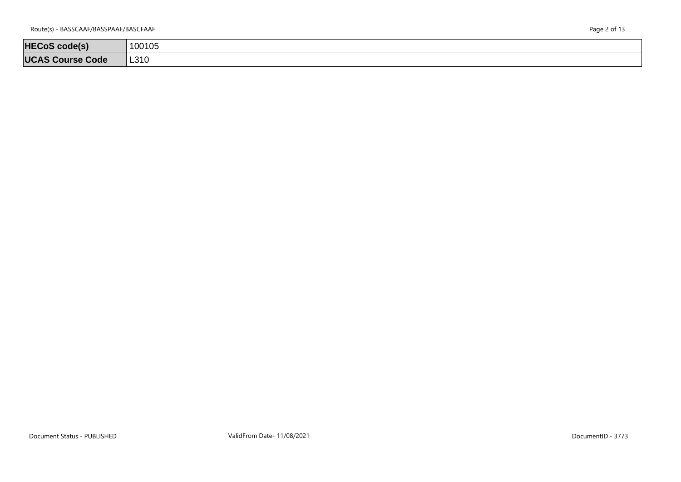| Page 2 of 13 |  |  |  |
|--------------|--|--|--|
|--------------|--|--|--|

| <b>HECoS code(s)</b>    | 100105 |
|-------------------------|--------|
| <b>UCAS Course Code</b> | L310   |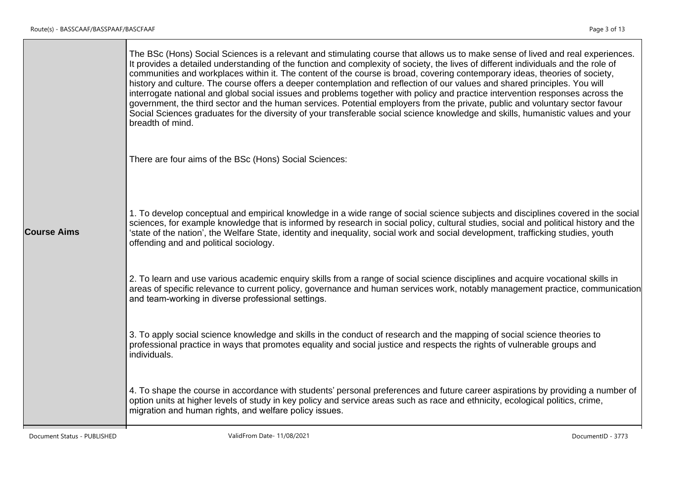|                    | The BSc (Hons) Social Sciences is a relevant and stimulating course that allows us to make sense of lived and real experiences.<br>It provides a detailed understanding of the function and complexity of society, the lives of different individuals and the role of<br>communities and workplaces within it. The content of the course is broad, covering contemporary ideas, theories of society,<br>history and culture. The course offers a deeper contemplation and reflection of our values and shared principles. You will<br>interrogate national and global social issues and problems together with policy and practice intervention responses across the<br>government, the third sector and the human services. Potential employers from the private, public and voluntary sector favour<br>Social Sciences graduates for the diversity of your transferable social science knowledge and skills, humanistic values and your<br>breadth of mind. |
|--------------------|---------------------------------------------------------------------------------------------------------------------------------------------------------------------------------------------------------------------------------------------------------------------------------------------------------------------------------------------------------------------------------------------------------------------------------------------------------------------------------------------------------------------------------------------------------------------------------------------------------------------------------------------------------------------------------------------------------------------------------------------------------------------------------------------------------------------------------------------------------------------------------------------------------------------------------------------------------------|
|                    | There are four aims of the BSc (Hons) Social Sciences:                                                                                                                                                                                                                                                                                                                                                                                                                                                                                                                                                                                                                                                                                                                                                                                                                                                                                                        |
| <b>Course Aims</b> | 1. To develop conceptual and empirical knowledge in a wide range of social science subjects and disciplines covered in the social<br>sciences, for example knowledge that is informed by research in social policy, cultural studies, social and political history and the<br>'state of the nation', the Welfare State, identity and inequality, social work and social development, trafficking studies, youth<br>offending and and political sociology.                                                                                                                                                                                                                                                                                                                                                                                                                                                                                                     |
|                    | 2. To learn and use various academic enquiry skills from a range of social science disciplines and acquire vocational skills in<br>areas of specific relevance to current policy, governance and human services work, notably management practice, communication<br>and team-working in diverse professional settings.                                                                                                                                                                                                                                                                                                                                                                                                                                                                                                                                                                                                                                        |
|                    | 3. To apply social science knowledge and skills in the conduct of research and the mapping of social science theories to<br>professional practice in ways that promotes equality and social justice and respects the rights of vulnerable groups and<br>individuals.                                                                                                                                                                                                                                                                                                                                                                                                                                                                                                                                                                                                                                                                                          |
|                    | 4. To shape the course in accordance with students' personal preferences and future career aspirations by providing a number of<br>option units at higher levels of study in key policy and service areas such as race and ethnicity, ecological politics, crime,<br>migration and human rights, and welfare policy issues.                                                                                                                                                                                                                                                                                                                                                                                                                                                                                                                                                                                                                                   |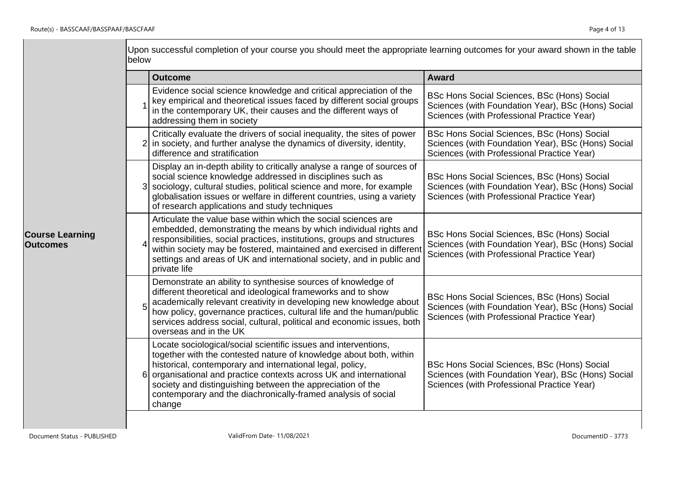|                                           | below | Upon successful completion of your course you should meet the appropriate learning outcomes for your award shown in the table                                                                                                                                                                                                                                                                                   |                                                                                                                                                 |
|-------------------------------------------|-------|-----------------------------------------------------------------------------------------------------------------------------------------------------------------------------------------------------------------------------------------------------------------------------------------------------------------------------------------------------------------------------------------------------------------|-------------------------------------------------------------------------------------------------------------------------------------------------|
|                                           |       | <b>Outcome</b>                                                                                                                                                                                                                                                                                                                                                                                                  | Award                                                                                                                                           |
|                                           |       | Evidence social science knowledge and critical appreciation of the<br>key empirical and theoretical issues faced by different social groups<br>in the contemporary UK, their causes and the different ways of<br>addressing them in society                                                                                                                                                                     | BSc Hons Social Sciences, BSc (Hons) Social<br>Sciences (with Foundation Year), BSc (Hons) Social<br>Sciences (with Professional Practice Year) |
|                                           |       | Critically evaluate the drivers of social inequality, the sites of power<br>2 in society, and further analyse the dynamics of diversity, identity,<br>difference and stratification                                                                                                                                                                                                                             | BSc Hons Social Sciences, BSc (Hons) Social<br>Sciences (with Foundation Year), BSc (Hons) Social<br>Sciences (with Professional Practice Year) |
|                                           |       | Display an in-depth ability to critically analyse a range of sources of<br>social science knowledge addressed in disciplines such as<br>3 sociology, cultural studies, political science and more, for example<br>globalisation issues or welfare in different countries, using a variety<br>of research applications and study techniques                                                                      | BSc Hons Social Sciences, BSc (Hons) Social<br>Sciences (with Foundation Year), BSc (Hons) Social<br>Sciences (with Professional Practice Year) |
| <b>Course Learning</b><br><b>Outcomes</b> |       | Articulate the value base within which the social sciences are<br>embedded, demonstrating the means by which individual rights and<br>responsibilities, social practices, institutions, groups and structures<br>within society may be fostered, maintained and exercised in different<br>settings and areas of UK and international society, and in public and<br>private life                                 | BSc Hons Social Sciences, BSc (Hons) Social<br>Sciences (with Foundation Year), BSc (Hons) Social<br>Sciences (with Professional Practice Year) |
|                                           |       | Demonstrate an ability to synthesise sources of knowledge of<br>different theoretical and ideological frameworks and to show<br>academically relevant creativity in developing new knowledge about<br>how policy, governance practices, cultural life and the human/public<br>services address social, cultural, political and economic issues, both<br>overseas and in the UK                                  | BSc Hons Social Sciences, BSc (Hons) Social<br>Sciences (with Foundation Year), BSc (Hons) Social<br>Sciences (with Professional Practice Year) |
|                                           | 61    | Locate sociological/social scientific issues and interventions,<br>together with the contested nature of knowledge about both, within<br>historical, contemporary and international legal, policy,<br>organisational and practice contexts across UK and international<br>society and distinguishing between the appreciation of the<br>contemporary and the diachronically-framed analysis of social<br>change | BSc Hons Social Sciences, BSc (Hons) Social<br>Sciences (with Foundation Year), BSc (Hons) Social<br>Sciences (with Professional Practice Year) |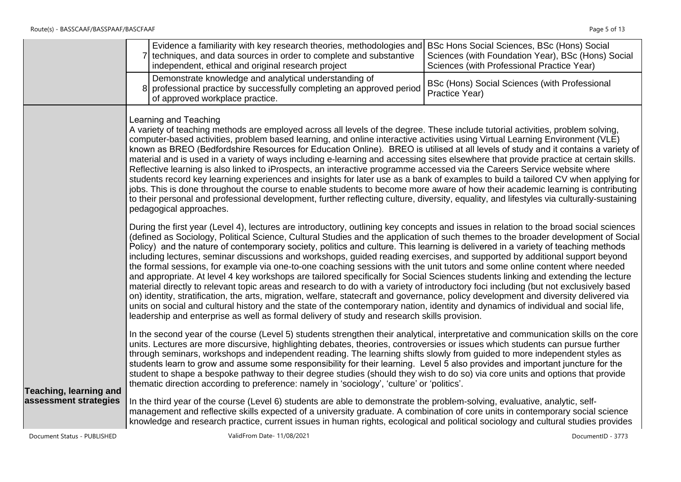|                               | Evidence a familiarity with key research theories, methodologies and BSc Hons Social Sciences, BSc (Hons) Social<br>7 techniques, and data sources in order to complete and substantive<br>Sciences (with Foundation Year), BSc (Hons) Social<br>Sciences (with Professional Practice Year)<br>independent, ethical and original research project                                                                                                                                                                                                                                                                                                                                                                                                                                                                                                                                                                                                                                                                                                                                                                                                                                                                                                                                                                                              |
|-------------------------------|------------------------------------------------------------------------------------------------------------------------------------------------------------------------------------------------------------------------------------------------------------------------------------------------------------------------------------------------------------------------------------------------------------------------------------------------------------------------------------------------------------------------------------------------------------------------------------------------------------------------------------------------------------------------------------------------------------------------------------------------------------------------------------------------------------------------------------------------------------------------------------------------------------------------------------------------------------------------------------------------------------------------------------------------------------------------------------------------------------------------------------------------------------------------------------------------------------------------------------------------------------------------------------------------------------------------------------------------|
|                               | Demonstrate knowledge and analytical understanding of<br>BSc (Hons) Social Sciences (with Professional<br>8 professional practice by successfully completing an approved period<br>Practice Year)<br>of approved workplace practice.                                                                                                                                                                                                                                                                                                                                                                                                                                                                                                                                                                                                                                                                                                                                                                                                                                                                                                                                                                                                                                                                                                           |
|                               | Learning and Teaching<br>A variety of teaching methods are employed across all levels of the degree. These include tutorial activities, problem solving,<br>computer-based activities, problem based learning, and online interactive activities using Virtual Learning Environment (VLE)<br>known as BREO (Bedfordshire Resources for Education Online). BREO is utilised at all levels of study and it contains a variety of<br>material and is used in a variety of ways including e-learning and accessing sites elsewhere that provide practice at certain skills.<br>Reflective learning is also linked to iProspects, an interactive programme accessed via the Careers Service website where<br>students record key learning experiences and insights for later use as a bank of examples to build a tailored CV when applying for<br>jobs. This is done throughout the course to enable students to become more aware of how their academic learning is contributing<br>to their personal and professional development, further reflecting culture, diversity, equality, and lifestyles via culturally-sustaining<br>pedagogical approaches.                                                                                                                                                                                          |
|                               | During the first year (Level 4), lectures are introductory, outlining key concepts and issues in relation to the broad social sciences<br>(defined as Sociology, Political Science, Cultural Studies and the application of such themes to the broader development of Social<br>Policy) and the nature of contemporary society, politics and culture. This learning is delivered in a variety of teaching methods<br>including lectures, seminar discussions and workshops, guided reading exercises, and supported by additional support beyond<br>the formal sessions, for example via one-to-one coaching sessions with the unit tutors and some online content where needed<br>and appropriate. At level 4 key workshops are tailored specifically for Social Sciences students linking and extending the lecture<br>material directly to relevant topic areas and research to do with a variety of introductory foci including (but not exclusively based<br>on) identity, stratification, the arts, migration, welfare, statecraft and governance, policy development and diversity delivered via<br>units on social and cultural history and the state of the contemporary nation, identity and dynamics of individual and social life,<br>leadership and enterprise as well as formal delivery of study and research skills provision. |
| <b>Teaching, learning and</b> | In the second year of the course (Level 5) students strengthen their analytical, interpretative and communication skills on the core<br>units. Lectures are more discursive, highlighting debates, theories, controversies or issues which students can pursue further<br>through seminars, workshops and independent reading. The learning shifts slowly from guided to more independent styles as<br>students learn to grow and assume some responsibility for their learning. Level 5 also provides and important juncture for the<br>student to shape a bespoke pathway to their degree studies (should they wish to do so) via core units and options that provide<br>thematic direction according to preference: namely in 'sociology', 'culture' or 'politics'.                                                                                                                                                                                                                                                                                                                                                                                                                                                                                                                                                                         |
| assessment strategies         | In the third year of the course (Level 6) students are able to demonstrate the problem-solving, evaluative, analytic, self-<br>management and reflective skills expected of a university graduate. A combination of core units in contemporary social science<br>knowledge and research practice, current issues in human rights, ecological and political sociology and cultural studies provides                                                                                                                                                                                                                                                                                                                                                                                                                                                                                                                                                                                                                                                                                                                                                                                                                                                                                                                                             |
| Document Status - PUBLISHED   | ValidFrom Date- 11/08/2021<br>DocumentID - 3773                                                                                                                                                                                                                                                                                                                                                                                                                                                                                                                                                                                                                                                                                                                                                                                                                                                                                                                                                                                                                                                                                                                                                                                                                                                                                                |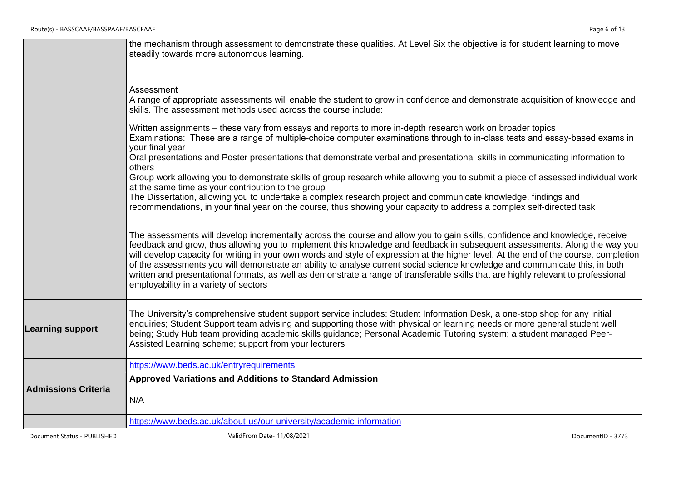|                            | the mechanism through assessment to demonstrate these qualities. At Level Six the objective is for student learning to move<br>steadily towards more autonomous learning.                                                                                                                                                                                                                                                                                                                                                                                                                                                                                                                                          |
|----------------------------|--------------------------------------------------------------------------------------------------------------------------------------------------------------------------------------------------------------------------------------------------------------------------------------------------------------------------------------------------------------------------------------------------------------------------------------------------------------------------------------------------------------------------------------------------------------------------------------------------------------------------------------------------------------------------------------------------------------------|
|                            | Assessment<br>A range of appropriate assessments will enable the student to grow in confidence and demonstrate acquisition of knowledge and<br>skills. The assessment methods used across the course include:                                                                                                                                                                                                                                                                                                                                                                                                                                                                                                      |
|                            | Written assignments – these vary from essays and reports to more in-depth research work on broader topics<br>Examinations: These are a range of multiple-choice computer examinations through to in-class tests and essay-based exams in<br>your final year                                                                                                                                                                                                                                                                                                                                                                                                                                                        |
|                            | Oral presentations and Poster presentations that demonstrate verbal and presentational skills in communicating information to<br>others<br>Group work allowing you to demonstrate skills of group research while allowing you to submit a piece of assessed individual work<br>at the same time as your contribution to the group                                                                                                                                                                                                                                                                                                                                                                                  |
|                            | The Dissertation, allowing you to undertake a complex research project and communicate knowledge, findings and<br>recommendations, in your final year on the course, thus showing your capacity to address a complex self-directed task                                                                                                                                                                                                                                                                                                                                                                                                                                                                            |
|                            | The assessments will develop incrementally across the course and allow you to gain skills, confidence and knowledge, receive<br>feedback and grow, thus allowing you to implement this knowledge and feedback in subsequent assessments. Along the way you<br>will develop capacity for writing in your own words and style of expression at the higher level. At the end of the course, completion<br>of the assessments you will demonstrate an ability to analyse current social science knowledge and communicate this, in both<br>written and presentational formats, as well as demonstrate a range of transferable skills that are highly relevant to professional<br>employability in a variety of sectors |
| <b>Learning support</b>    | The University's comprehensive student support service includes: Student Information Desk, a one-stop shop for any initial<br>enquiries; Student Support team advising and supporting those with physical or learning needs or more general student well<br>being; Study Hub team providing academic skills guidance; Personal Academic Tutoring system; a student managed Peer-<br>Assisted Learning scheme; support from your lecturers                                                                                                                                                                                                                                                                          |
|                            | https://www.beds.ac.uk/entryrequirements                                                                                                                                                                                                                                                                                                                                                                                                                                                                                                                                                                                                                                                                           |
| <b>Admissions Criteria</b> | Approved Variations and Additions to Standard Admission<br>N/A                                                                                                                                                                                                                                                                                                                                                                                                                                                                                                                                                                                                                                                     |
|                            | https://www.beds.ac.uk/about-us/our-university/academic-information                                                                                                                                                                                                                                                                                                                                                                                                                                                                                                                                                                                                                                                |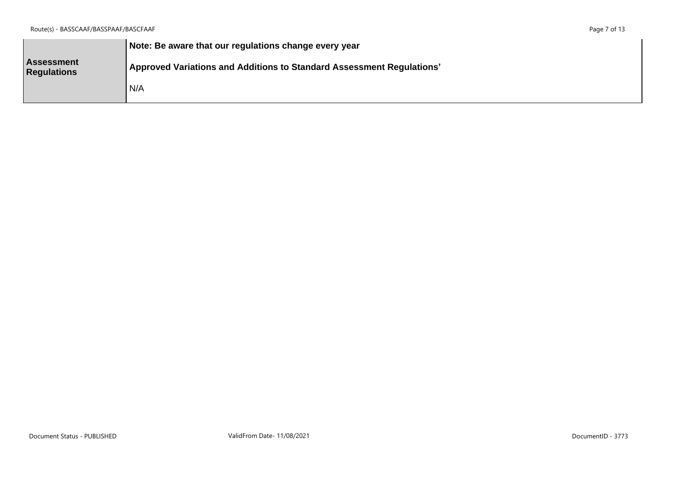|                                         | Note: Be aware that our regulations change every year                 |
|-----------------------------------------|-----------------------------------------------------------------------|
| <b>Assessment</b><br><b>Regulations</b> | Approved Variations and Additions to Standard Assessment Regulations' |
|                                         | I N/A                                                                 |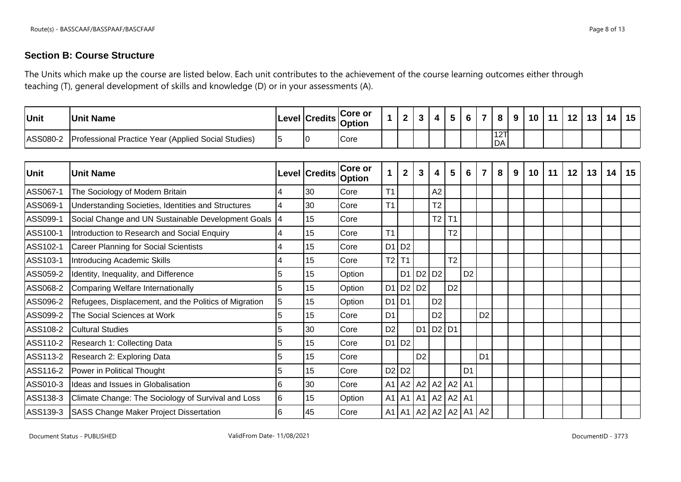## **Section B: Course Structure**

The Units which make up the course are listed below. Each unit contributes to the achievement of the course learning outcomes either through teaching (T), general development of skills and knowledge (D) or in your assessments (A).

| Unit     | <b>Unit Name</b>                                           |  | <b>ICore or</b><br>ILevel Credits <sub>Option</sub> |  | 4 |  |            | െ | $10$   11 | 12 <sub>1</sub> | 13 14 | 15 <sub>1</sub> |
|----------|------------------------------------------------------------|--|-----------------------------------------------------|--|---|--|------------|---|-----------|-----------------|-------|-----------------|
| ASS080-2 | <b>Professional Practice Year (Applied Social Studies)</b> |  | Core                                                |  |   |  | 12TI<br>DA |   |           |                 |       |                 |

| Unit     | <b>Unit Name</b>                                      |   | Level Credits | <b>Core or</b><br><b>Option</b> | 1              | $\overline{2}$ | 3              | 4                             | $5\phantom{.0}$             | 6              | 7              | 8 | 9 | 10 | 11 | 12 | 13 | 14 | 15 |
|----------|-------------------------------------------------------|---|---------------|---------------------------------|----------------|----------------|----------------|-------------------------------|-----------------------------|----------------|----------------|---|---|----|----|----|----|----|----|
| ASS067-1 | The Sociology of Modern Britain                       |   | 30            | Core                            | T <sub>1</sub> |                |                | A2                            |                             |                |                |   |   |    |    |    |    |    |    |
| ASS069-1 | Understanding Societies, Identities and Structures    |   | 30            | Core                            | T1             |                |                | T <sub>2</sub>                |                             |                |                |   |   |    |    |    |    |    |    |
| ASS099-1 | Social Change and UN Sustainable Development Goals    |   | 15            | Core                            |                |                |                | T <sub>2</sub>                | T <sub>1</sub>              |                |                |   |   |    |    |    |    |    |    |
| ASS100-1 | Introduction to Research and Social Enquiry           |   | 15            | Core                            | T1             |                |                |                               | T <sub>2</sub>              |                |                |   |   |    |    |    |    |    |    |
| ASS102-1 | Career Planning for Social Scientists                 |   | 15            | Core                            |                | D1 D2          |                |                               |                             |                |                |   |   |    |    |    |    |    |    |
| ASS103-1 | Introducing Academic Skills                           |   | 15            | Core                            | T2             | T <sub>1</sub> |                |                               | T <sub>2</sub>              |                |                |   |   |    |    |    |    |    |    |
| ASS059-2 | Identity, Inequality, and Difference                  |   | 15            | Option                          |                | D <sub>1</sub> |                | D <sub>2</sub> D <sub>2</sub> |                             | D <sub>2</sub> |                |   |   |    |    |    |    |    |    |
| ASS068-2 | Comparing Welfare Internationally                     |   | 15            | Option                          |                | D1 D2 D2       |                |                               | D <sub>2</sub>              |                |                |   |   |    |    |    |    |    |    |
| ASS096-2 | Refugees, Displacement, and the Politics of Migration |   | 15            | Option                          | D1 D1          |                |                | D <sub>2</sub>                |                             |                |                |   |   |    |    |    |    |    |    |
| ASS099-2 | The Social Sciences at Work                           |   | 15            | Core                            | D <sub>1</sub> |                |                | D <sub>2</sub>                |                             |                | D <sub>2</sub> |   |   |    |    |    |    |    |    |
| ASS108-2 | <b>Cultural Studies</b>                               |   | 30            | Core                            | D <sub>2</sub> |                | D <sub>1</sub> | $D2$ D1                       |                             |                |                |   |   |    |    |    |    |    |    |
| ASS110-2 | Research 1: Collecting Data                           |   | 15            | Core                            |                | D1 D2          |                |                               |                             |                |                |   |   |    |    |    |    |    |    |
| ASS113-2 | Research 2: Exploring Data                            |   | 15            | Core                            |                |                | D <sub>2</sub> |                               |                             |                | D <sub>1</sub> |   |   |    |    |    |    |    |    |
| ASS116-2 | Power in Political Thought                            |   | 15            | Core                            |                | D2 D2          |                |                               |                             | D <sub>1</sub> |                |   |   |    |    |    |    |    |    |
| ASS010-3 | Ideas and Issues in Globalisation                     |   | 30            | Core                            |                |                |                |                               | A1   A2   A2   A2   A2   A1 |                |                |   |   |    |    |    |    |    |    |
| ASS138-3 | Climate Change: The Sociology of Survival and Loss    | 6 | 15            | Option                          |                | $A1$ $A1$ $A1$ |                |                               | $A2$ $A2$ $A1$              |                |                |   |   |    |    |    |    |    |    |
| ASS139-3 | <b>SASS Change Maker Project Dissertation</b>         |   | 45            | Core                            |                |                |                |                               | A1   A1   A2   A2   A2   A1 |                | A2             |   |   |    |    |    |    |    |    |

Document Status - PUBLISHED ValidFrom Date- 11/08/2021 DocumentID - 3773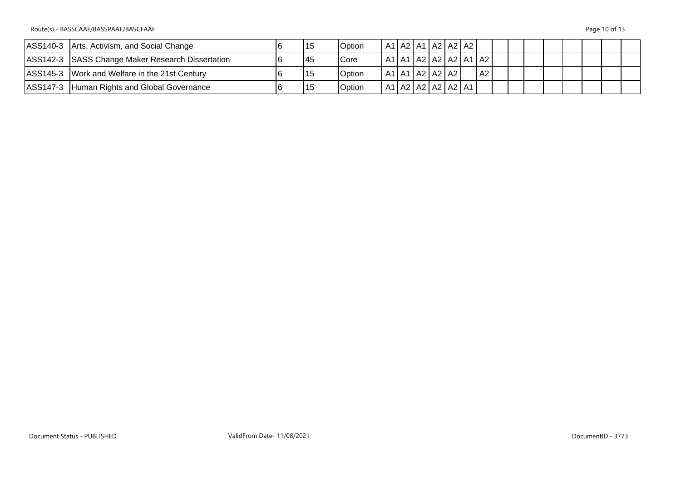Route(s) - BASSCAAF/BASSPAAF/BASCFAAF Page 10 of 13

| ASS140-3 Arts, Activism, and Social Change       | 115 | <b>Option</b>  | A1   A2   A1   A2   A2   A2 |  |  |                                  |  |  |  |  |
|--------------------------------------------------|-----|----------------|-----------------------------|--|--|----------------------------------|--|--|--|--|
| ASS142-3 SASS Change Maker Research Dissertation | 145 | <b>Core</b>    |                             |  |  | A1   A1   A2   A2   A2   A1   A2 |  |  |  |  |
| ASS145-3 Work and Welfare in the 21st Century    | 115 | <b>Option</b>  | A1   A1   A2   A2   A2      |  |  | A2                               |  |  |  |  |
| ASS147-3 Human Rights and Global Governance      | 115 | <b>IOption</b> | A1   A2   A2   A2   A2   A1 |  |  |                                  |  |  |  |  |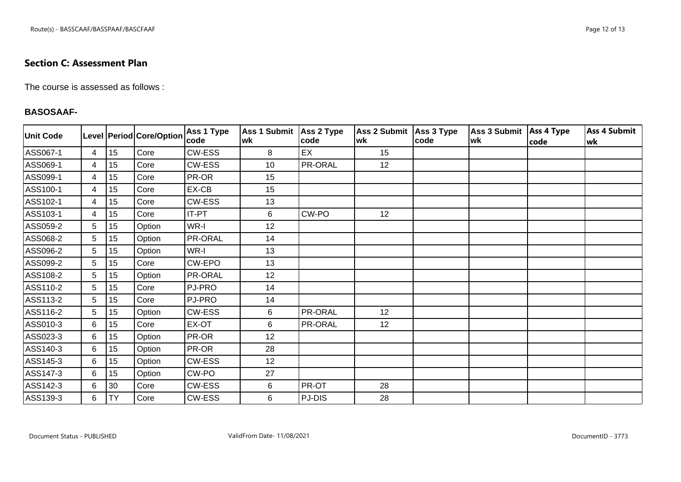## **Section C: Assessment Plan**

The course is assessed as follows :

#### **BASOSAAF-**

| <b>Unit Code</b> |                |           | Level   Period   Core/Option | Ass 1 Type<br> code | <b>Ass 1 Submit</b><br>wk | Ass 2 Type<br>code | Ass 2 Submit Ass 3 Type<br>lwk | <b>code</b> | Ass 3 Submit   Ass 4 Type<br>lwk | code | <b>Ass 4 Submit</b><br>lwk |
|------------------|----------------|-----------|------------------------------|---------------------|---------------------------|--------------------|--------------------------------|-------------|----------------------------------|------|----------------------------|
| ASS067-1         | 4              | 15        | Core                         | CW-ESS              | 8                         | EX                 | 15                             |             |                                  |      |                            |
| ASS069-1         | $\overline{4}$ | 15        | Core                         | <b>CW-ESS</b>       | 10                        | PR-ORAL            | 12                             |             |                                  |      |                            |
| ASS099-1         | 4              | 15        | Core                         | PR-OR               | 15                        |                    |                                |             |                                  |      |                            |
| ASS100-1         | 4              | 15        | Core                         | EX-CB               | 15                        |                    |                                |             |                                  |      |                            |
| ASS102-1         | 4              | 15        | Core                         | CW-ESS              | 13                        |                    |                                |             |                                  |      |                            |
| ASS103-1         | $\overline{4}$ | 15        | Core                         | <b>IT-PT</b>        | 6                         | CW-PO              | 12                             |             |                                  |      |                            |
| ASS059-2         | 5              | 15        | Option                       | WR-I                | 12                        |                    |                                |             |                                  |      |                            |
| ASS068-2         | 5              | 15        | Option                       | PR-ORAL             | 14                        |                    |                                |             |                                  |      |                            |
| ASS096-2         | 5              | 15        | Option                       | WR-I                | 13                        |                    |                                |             |                                  |      |                            |
| ASS099-2         | 5              | 15        | Core                         | CW-EPO              | 13                        |                    |                                |             |                                  |      |                            |
| ASS108-2         | 5              | 15        | Option                       | PR-ORAL             | 12                        |                    |                                |             |                                  |      |                            |
| ASS110-2         | 5              | 15        | Core                         | PJ-PRO              | 14                        |                    |                                |             |                                  |      |                            |
| ASS113-2         | 5              | 15        | Core                         | PJ-PRO              | 14                        |                    |                                |             |                                  |      |                            |
| ASS116-2         | 5              | 15        | Option                       | <b>CW-ESS</b>       | 6                         | <b>PR-ORAL</b>     | 12                             |             |                                  |      |                            |
| ASS010-3         | 6              | 15        | Core                         | EX-OT               | 6                         | PR-ORAL            | 12                             |             |                                  |      |                            |
| ASS023-3         | 6              | 15        | Option                       | PR-OR               | 12                        |                    |                                |             |                                  |      |                            |
| ASS140-3         | 6              | 15        | Option                       | PR-OR               | 28                        |                    |                                |             |                                  |      |                            |
| ASS145-3         | 6              | 15        | Option                       | <b>CW-ESS</b>       | 12                        |                    |                                |             |                                  |      |                            |
| ASS147-3         | 6              | 15        | Option                       | CW-PO               | 27                        |                    |                                |             |                                  |      |                            |
| ASS142-3         | 6              | 30        | Core                         | CW-ESS              | 6                         | PR-OT              | 28                             |             |                                  |      |                            |
| ASS139-3         | 6              | <b>TY</b> | Core                         | <b>CW-ESS</b>       | 6                         | PJ-DIS             | 28                             |             |                                  |      |                            |